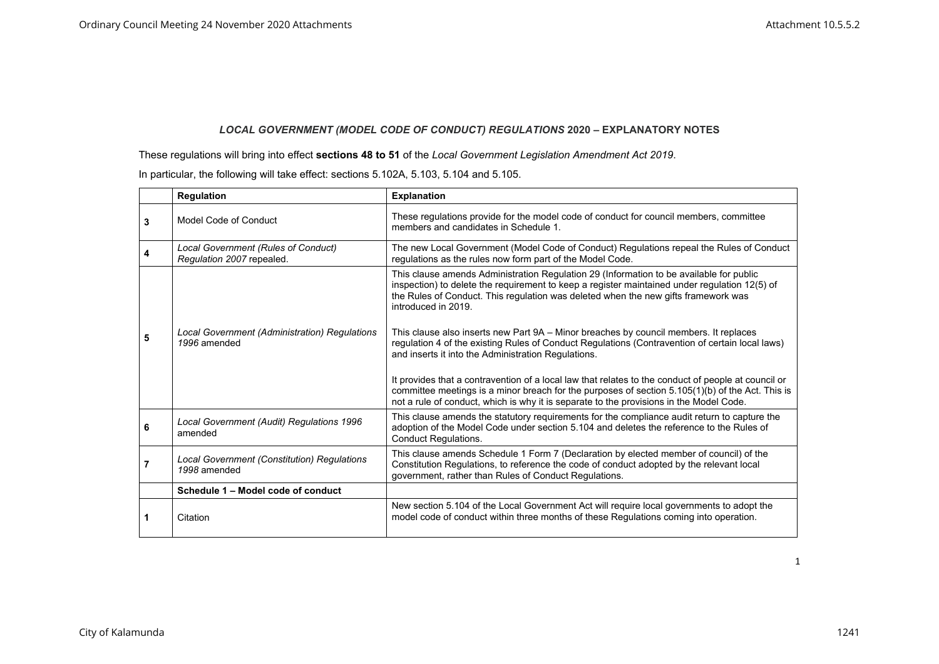## *LOCAL GOVERNMENT (MODEL CODE OF CONDUCT) REGULATIONS* **2020 – EXPLANATORY NOTES**

These regulations will bring into effect **sections 48 to 51** of the *Local Government Legislation Amendment Act 2019*.

|   | Regulation                                                       | <b>Explanation</b>                                                                                                                                                                                                                                                                                   |
|---|------------------------------------------------------------------|------------------------------------------------------------------------------------------------------------------------------------------------------------------------------------------------------------------------------------------------------------------------------------------------------|
| 3 | Model Code of Conduct                                            | These regulations provide for the model code of conduct for council members, committee<br>members and candidates in Schedule 1.                                                                                                                                                                      |
| 4 | Local Government (Rules of Conduct)<br>Regulation 2007 repealed. | The new Local Government (Model Code of Conduct) Regulations repeal the Rules of Conduct<br>regulations as the rules now form part of the Model Code.                                                                                                                                                |
|   |                                                                  | This clause amends Administration Regulation 29 (Information to be available for public<br>inspection) to delete the requirement to keep a register maintained under regulation 12(5) of<br>the Rules of Conduct. This regulation was deleted when the new gifts framework was<br>introduced in 2019 |
| 5 | Local Government (Administration) Regulations<br>1996 amended    | This clause also inserts new Part 9A – Minor breaches by council members. It replaces<br>regulation 4 of the existing Rules of Conduct Regulations (Contravention of certain local laws)<br>and inserts it into the Administration Regulations.                                                      |
|   |                                                                  | It provides that a contravention of a local law that relates to the conduct of people at council or<br>committee meetings is a minor breach for the purposes of section 5.105(1)(b) of the Act. This is<br>not a rule of conduct, which is why it is separate to the provisions in the Model Code.   |
| 6 | Local Government (Audit) Regulations 1996<br>amended             | This clause amends the statutory requirements for the compliance audit return to capture the<br>adoption of the Model Code under section 5.104 and deletes the reference to the Rules of<br><b>Conduct Regulations.</b>                                                                              |
|   | Local Government (Constitution) Regulations<br>1998 amended      | This clause amends Schedule 1 Form 7 (Declaration by elected member of council) of the<br>Constitution Regulations, to reference the code of conduct adopted by the relevant local<br>government, rather than Rules of Conduct Regulations.                                                          |
|   | Schedule 1 - Model code of conduct                               |                                                                                                                                                                                                                                                                                                      |
|   | Citation                                                         | New section 5.104 of the Local Government Act will require local governments to adopt the<br>model code of conduct within three months of these Regulations coming into operation.                                                                                                                   |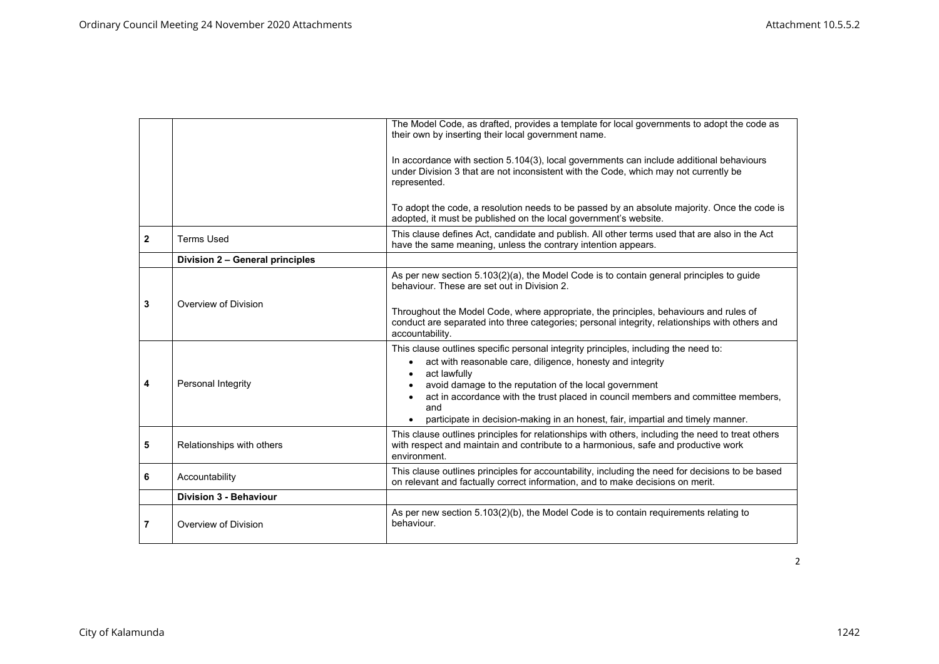|              |                                 | The Model Code, as drafted, provides a template for local governments to adopt the code as<br>their own by inserting their local government name.                                                                                                                                                                                                                                                                                    |
|--------------|---------------------------------|--------------------------------------------------------------------------------------------------------------------------------------------------------------------------------------------------------------------------------------------------------------------------------------------------------------------------------------------------------------------------------------------------------------------------------------|
|              |                                 | In accordance with section 5.104(3), local governments can include additional behaviours<br>under Division 3 that are not inconsistent with the Code, which may not currently be<br>represented.<br>To adopt the code, a resolution needs to be passed by an absolute majority. Once the code is                                                                                                                                     |
|              |                                 | adopted, it must be published on the local government's website.                                                                                                                                                                                                                                                                                                                                                                     |
| $\mathbf{2}$ | <b>Terms Used</b>               | This clause defines Act, candidate and publish. All other terms used that are also in the Act<br>have the same meaning, unless the contrary intention appears.                                                                                                                                                                                                                                                                       |
|              | Division 2 - General principles |                                                                                                                                                                                                                                                                                                                                                                                                                                      |
|              |                                 | As per new section $5.103(2)(a)$ , the Model Code is to contain general principles to guide<br>behaviour. These are set out in Division 2.                                                                                                                                                                                                                                                                                           |
| 3            | Overview of Division            | Throughout the Model Code, where appropriate, the principles, behaviours and rules of<br>conduct are separated into three categories; personal integrity, relationships with others and<br>accountability.                                                                                                                                                                                                                           |
| 4            | Personal Integrity              | This clause outlines specific personal integrity principles, including the need to:<br>act with reasonable care, diligence, honesty and integrity<br>$\bullet$<br>act lawfully<br>$\bullet$<br>avoid damage to the reputation of the local government<br>act in accordance with the trust placed in council members and committee members,<br>and<br>participate in decision-making in an honest, fair, impartial and timely manner. |
| 5            | Relationships with others       | This clause outlines principles for relationships with others, including the need to treat others<br>with respect and maintain and contribute to a harmonious, safe and productive work<br>environment.                                                                                                                                                                                                                              |
| 6            | Accountability                  | This clause outlines principles for accountability, including the need for decisions to be based<br>on relevant and factually correct information, and to make decisions on merit.                                                                                                                                                                                                                                                   |
|              | <b>Division 3 - Behaviour</b>   |                                                                                                                                                                                                                                                                                                                                                                                                                                      |
| 7            | Overview of Division            | As per new section $5.103(2)(b)$ , the Model Code is to contain requirements relating to<br>behaviour.                                                                                                                                                                                                                                                                                                                               |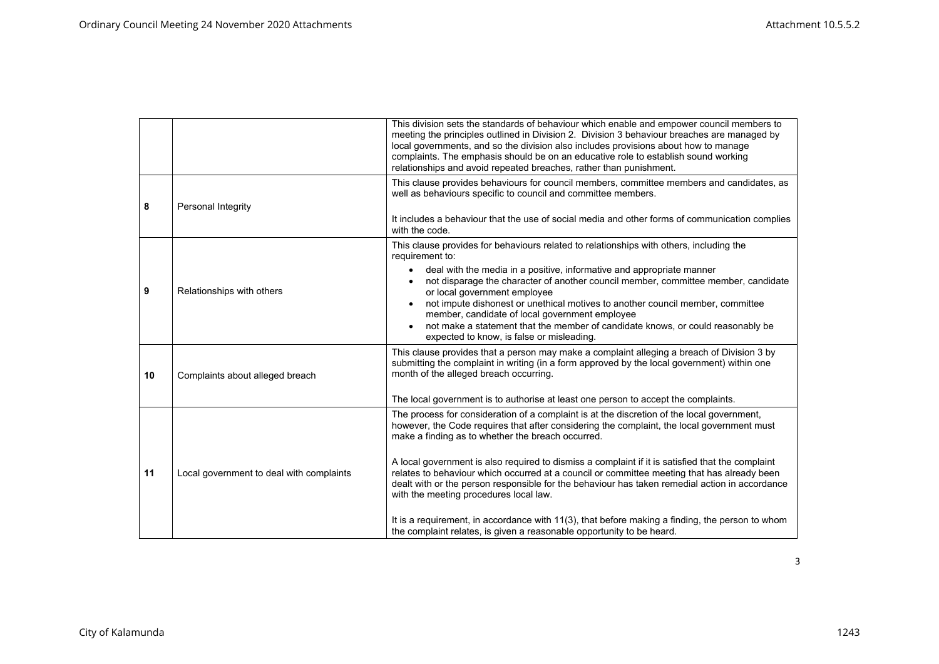|    |                                          | This division sets the standards of behaviour which enable and empower council members to<br>meeting the principles outlined in Division 2. Division 3 behaviour breaches are managed by<br>local governments, and so the division also includes provisions about how to manage<br>complaints. The emphasis should be on an educative role to establish sound working<br>relationships and avoid repeated breaches, rather than punishment.                                                                                                                                                                                                                                                                                                                              |
|----|------------------------------------------|--------------------------------------------------------------------------------------------------------------------------------------------------------------------------------------------------------------------------------------------------------------------------------------------------------------------------------------------------------------------------------------------------------------------------------------------------------------------------------------------------------------------------------------------------------------------------------------------------------------------------------------------------------------------------------------------------------------------------------------------------------------------------|
| 8  | Personal Integrity                       | This clause provides behaviours for council members, committee members and candidates, as<br>well as behaviours specific to council and committee members.<br>It includes a behaviour that the use of social media and other forms of communication complies<br>with the code.                                                                                                                                                                                                                                                                                                                                                                                                                                                                                           |
| 9  | Relationships with others                | This clause provides for behaviours related to relationships with others, including the<br>requirement to:<br>deal with the media in a positive, informative and appropriate manner<br>not disparage the character of another council member, committee member, candidate<br>or local government employee<br>not impute dishonest or unethical motives to another council member, committee<br>member, candidate of local government employee<br>not make a statement that the member of candidate knows, or could reasonably be<br>expected to know, is false or misleading.                                                                                                                                                                                            |
| 10 | Complaints about alleged breach          | This clause provides that a person may make a complaint alleging a breach of Division 3 by<br>submitting the complaint in writing (in a form approved by the local government) within one<br>month of the alleged breach occurring.<br>The local government is to authorise at least one person to accept the complaints.                                                                                                                                                                                                                                                                                                                                                                                                                                                |
| 11 | Local government to deal with complaints | The process for consideration of a complaint is at the discretion of the local government,<br>however, the Code requires that after considering the complaint, the local government must<br>make a finding as to whether the breach occurred.<br>A local government is also required to dismiss a complaint if it is satisfied that the complaint<br>relates to behaviour which occurred at a council or committee meeting that has already been<br>dealt with or the person responsible for the behaviour has taken remedial action in accordance<br>with the meeting procedures local law.<br>It is a requirement, in accordance with 11(3), that before making a finding, the person to whom<br>the complaint relates, is given a reasonable opportunity to be heard. |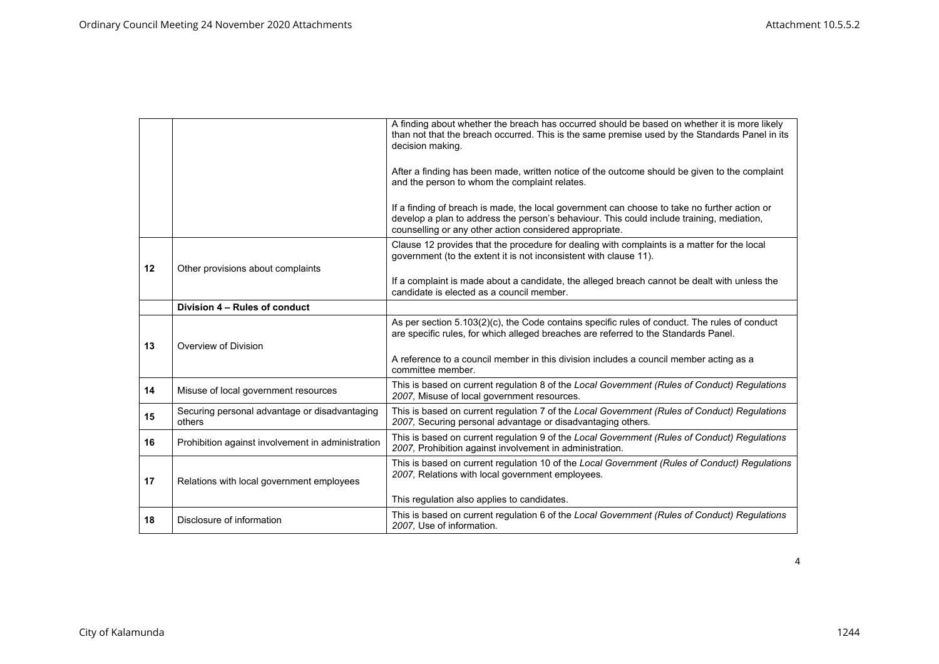|    |                                                         | A finding about whether the breach has occurred should be based on whether it is more likely<br>than not that the breach occurred. This is the same premise used by the Standards Panel in its<br>decision making.                                   |
|----|---------------------------------------------------------|------------------------------------------------------------------------------------------------------------------------------------------------------------------------------------------------------------------------------------------------------|
|    |                                                         | After a finding has been made, written notice of the outcome should be given to the complaint<br>and the person to whom the complaint relates.                                                                                                       |
|    |                                                         | If a finding of breach is made, the local government can choose to take no further action or<br>develop a plan to address the person's behaviour. This could include training, mediation,<br>counselling or any other action considered appropriate. |
| 12 | Other provisions about complaints                       | Clause 12 provides that the procedure for dealing with complaints is a matter for the local<br>government (to the extent it is not inconsistent with clause 11).                                                                                     |
|    |                                                         | If a complaint is made about a candidate, the alleged breach cannot be dealt with unless the<br>candidate is elected as a council member.                                                                                                            |
|    | Division 4 - Rules of conduct                           |                                                                                                                                                                                                                                                      |
| 13 | Overview of Division                                    | As per section 5.103(2)(c), the Code contains specific rules of conduct. The rules of conduct<br>are specific rules, for which alleged breaches are referred to the Standards Panel.                                                                 |
|    |                                                         | A reference to a council member in this division includes a council member acting as a<br>committee member.                                                                                                                                          |
| 14 | Misuse of local government resources                    | This is based on current regulation 8 of the Local Government (Rules of Conduct) Regulations<br>2007, Misuse of local government resources.                                                                                                          |
| 15 | Securing personal advantage or disadvantaging<br>others | This is based on current regulation 7 of the Local Government (Rules of Conduct) Regulations<br>2007, Securing personal advantage or disadvantaging others.                                                                                          |
| 16 | Prohibition against involvement in administration       | This is based on current regulation 9 of the Local Government (Rules of Conduct) Regulations<br>2007, Prohibition against involvement in administration.                                                                                             |
| 17 | Relations with local government employees               | This is based on current regulation 10 of the Local Government (Rules of Conduct) Regulations<br>2007, Relations with local government employees.                                                                                                    |
|    |                                                         | This regulation also applies to candidates.                                                                                                                                                                                                          |
| 18 | Disclosure of information                               | This is based on current regulation 6 of the Local Government (Rules of Conduct) Regulations<br>2007. Use of information.                                                                                                                            |